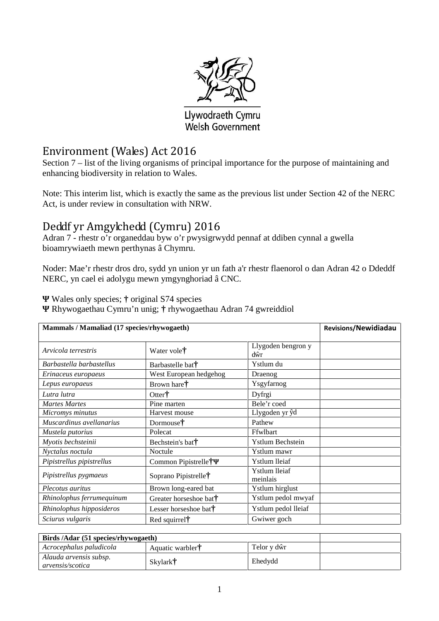

## Llywodraeth Cymru Welsh Government

## Environment (Wales) Act 2016

Section 7 – list of the living organisms of principal importance for the purpose of maintaining and enhancing biodiversity in relation to Wales.

Note: This interim list, which is exactly the same as the previous list under Section 42 of the NERC Act, is under review in consultation with NRW.

# Deddf yr Amgylchedd (Cymru) 2016

Adran 7 - rhestr o'r organeddau byw o'r pwysigrwydd pennaf at ddiben cynnal a gwella bioamrywiaeth mewn perthynas â Chymru.

Noder: Mae'r rhestr dros dro, sydd yn union yr un fath a'r rhestr flaenorol o dan Adran 42 o Ddeddf NERC, yn cael ei adolygu mewn ymgynghoriad â CNC.

Wales only species; **†** original S74 species

Rhywogaethau Cymru'n unig; **†** rhywogaethau Adran 74 gwreiddiol

| Mammals / Mamaliad (17 species/rhywogaeth) |                                    |                                      | <b>Revisions/Newidiadau</b> |
|--------------------------------------------|------------------------------------|--------------------------------------|-----------------------------|
| Arvicola terrestris                        | Water vole <sup>†</sup>            | Llygoden bengron y<br>d <sub>r</sub> |                             |
| Barbastella barbastellus                   | Barbastelle bat <sup>†</sup>       | Ystlum du                            |                             |
| Erinaceus europaeus                        | West European hedgehog             | Draenog                              |                             |
| Lepus europaeus                            | Brown hare†                        | Ysgyfarnog                           |                             |
| Lutra lutra                                | Otter†                             | Dyfrgi                               |                             |
| <b>Martes Martes</b>                       | Pine marten                        | Bele'r coed                          |                             |
| Micromys minutus                           | Harvest mouse                      | Llygoden yr d                        |                             |
| Muscardinus avellanarius                   | Dormouse†                          | Pathew                               |                             |
| Mustela putorius                           | Polecat                            | Ffwlbart                             |                             |
| Myotis bechsteinii                         | Bechstein's bat <sup>†</sup>       | <b>Ystlum Bechstein</b>              |                             |
| Nyctalus noctula                           | Noctule                            | Ystlum mawr                          |                             |
| Pipistrellus pipistrellus                  | Common Pipistrelle†                | Ystlum lleiaf                        |                             |
| Pipistrellus pygmaeus                      | Soprano Pipistrelle†               | Ystlum lleiaf<br>meinlais            |                             |
| Plecotus auritus                           | Brown long-eared bat               | Ystlum hirglust                      |                             |
| Rhinolophus ferrumequinum                  | Greater horseshoe bat <sup>†</sup> | Ystlum pedol mwyaf                   |                             |
| Rhinolophus hipposideros                   | Lesser horseshoe bat <sup>†</sup>  | Ystlum pedol lleiaf                  |                             |
| Sciurus vulgaris                           | Red squirrel <sup>†</sup>          | Gwiwer goch                          |                             |

| Birds /Adar (51 species/rhywogaeth)        |                  |             |  |
|--------------------------------------------|------------------|-------------|--|
| Acrocephalus paludicola                    | Aquatic warbler† | Telor y d r |  |
| Alauda arvensis subsp.<br>arvensis/scotica | Skylark†         | Ehedydd     |  |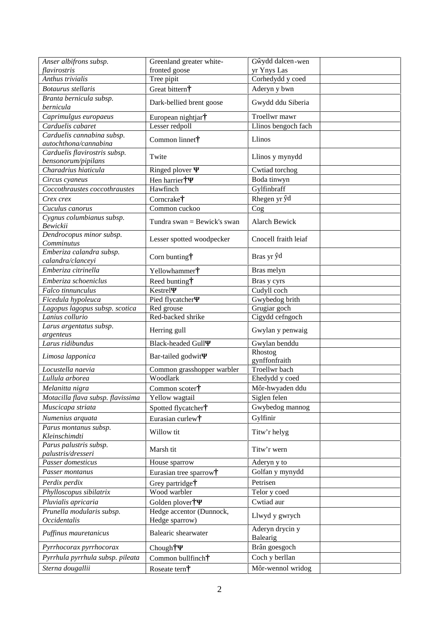| Anser albifrons subsp.                 | Greenland greater white-        | G ydd dalcen-wen         |  |
|----------------------------------------|---------------------------------|--------------------------|--|
| flavirostris<br>Anthus trivialis       | fronted goose                   | yr Ynys Las              |  |
|                                        | Tree pipit                      | Corhedydd y coed         |  |
| Botaurus stellaris                     | Great bittern†                  | Aderyn y bwn             |  |
| Branta bernicula subsp.<br>bernicula   | Dark-bellied brent goose        | Gwydd ddu Siberia        |  |
| Caprimulgus europaeus                  | European nightjar†              | Troellwr mawr            |  |
| Carduelis cabaret                      | Lesser redpoll                  | Llinos bengoch fach      |  |
| Carduelis cannabina subsp.             |                                 |                          |  |
| autochthona/cannabina                  | Common linnet†                  | Llinos                   |  |
| Carduelis flavirostris subsp.          | Twite                           |                          |  |
| bensonorum/pipilans                    |                                 | Llinos y mynydd          |  |
| Charadrius hiaticula                   | Ringed plover                   | Cwtiad torchog           |  |
| Circus cyaneus                         | Hen harrier <sup>†</sup>        | Boda tinwyn              |  |
| Coccothraustes coccothraustes          | Hawfinch                        | Gylfinbraff              |  |
| Crex crex                              | Corncrake <sup>†</sup>          | Rhegen yr d              |  |
| Cuculus canorus                        | Common cuckoo                   | Cog                      |  |
| Cygnus columbianus subsp.              | Tundra swan = Bewick's swan     | Alarch Bewick            |  |
| Bewickii                               |                                 |                          |  |
| Dendrocopus minor subsp.<br>Comminutus | Lesser spotted woodpecker       | Cnocell fraith leiaf     |  |
| Emberiza calandra subsp.               |                                 |                          |  |
| calandra/clanceyi                      | Corn bunting $\dagger$          | Bras yr d                |  |
| Emberiza citrinella                    | Yellowhammer <sup>†</sup>       | Bras melyn               |  |
| Emberiza schoeniclus                   | Reed bunting†                   | Bras y cyrs              |  |
| Falco tinnunculus                      | Kestrel                         | Cudyll coch              |  |
| Ficedula hypoleuca                     | Pied flycatcher                 | Gwybedog brith           |  |
| Lagopus lagopus subsp. scotica         | Red grouse                      | Grugiar goch             |  |
| Lanius collurio                        | Red-backed shrike               | Cigydd cefngoch          |  |
| Larus argentatus subsp.                | Herring gull                    | Gwylan y penwaig         |  |
| argenteus                              |                                 |                          |  |
| Larus ridibundus                       | <b>Black-headed Gull</b>        | Gwylan benddu            |  |
| Limosa lapponica                       | Bar-tailed godwit               | Rhostog<br>gynffonfraith |  |
| Locustella naevia                      | Common grasshopper warbler      | Troellwr bach            |  |
| Lullula arborea                        | Woodlark                        | Ehedydd y coed           |  |
| Melanitta nigra                        | Common scoter†                  | Môr-hwyaden ddu          |  |
| Motacilla flava subsp. flavissima      | Yellow wagtail                  | Siglen felen             |  |
| Muscicapa striata                      | Spotted flycatcher <sup>†</sup> | Gwybedog mannog          |  |
| Numenius arquata                       | Eurasian curlew†                | Gylfinir                 |  |
| Parus montanus subsp.                  |                                 |                          |  |
| Kleinschimdti                          | Willow tit                      | Titw'r helyg             |  |
| Parus palustris subsp.                 | Marsh tit                       | Titw'r wern              |  |
| palustris/dresseri                     |                                 |                          |  |
| Passer domesticus                      | House sparrow                   | Aderyn y to              |  |
| Passer montanus                        | Eurasian tree sparrow†          | Golfan y mynydd          |  |
| Perdix perdix                          | Grey partridge <sup>†</sup>     | Petrisen                 |  |
| Phylloscopus sibilatrix                | Wood warbler                    | Telor y coed             |  |
| Pluvialis apricaria                    | Golden plover <sup>†</sup>      | Cwtiad aur               |  |
| Prunella modularis subsp.              | Hedge accentor (Dunnock,        |                          |  |
| <b>Occidentalis</b>                    | Hedge sparrow)                  | Llwyd y gwrych           |  |
| Puffinus mauretanicus                  | Balearic shearwater             | Aderyn drycin y          |  |
|                                        |                                 | Balearig                 |  |
| Pyrrhocorax pyrrhocorax                | Chough <sup>†</sup>             | Brân goesgoch            |  |
| Pyrrhula pyrrhula subsp. pileata       | Common bullfinch†               | Coch y berllan           |  |
| Sterna dougallii                       | Roseate tern†                   | Môr-wennol wridog        |  |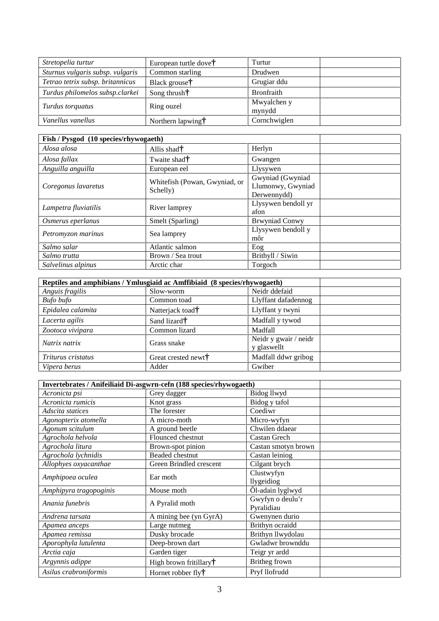| Stretopelia turtur               | European turtle dove <sup>†</sup> | Turtur                |  |
|----------------------------------|-----------------------------------|-----------------------|--|
| Sturnus vulgaris subsp. vulgaris | Common starling                   | Drudwen               |  |
| Tetrao tetrix subsp. britannicus | Black grouse†                     | Grugiar ddu           |  |
| Turdus philomelos subsp.clarkei  | Song thrush $\dagger$             | <b>Bronfraith</b>     |  |
| Turdus torquatus                 | Ring ouzel                        | Mwyalchen y<br>mynydd |  |
| Vanellus vanellus                | Northern lapwing†                 | Cornchwiglen          |  |

| Fish / Pysgod (10 species/rhywogaeth) |                               |                       |  |
|---------------------------------------|-------------------------------|-----------------------|--|
| Alosa alosa                           | Allis shad $\dagger$          | Herlyn                |  |
| Alosa fallax                          | Twaite shad <sup>†</sup>      | Gwangen               |  |
| Anguilla anguilla                     | European eel                  | Llysywen              |  |
|                                       | Whitefish (Powan, Gwyniad, or | Gwyniad (Gwyniad      |  |
| Coregonus lavaretus                   |                               | Llumonwy, Gwyniad     |  |
|                                       | Schelly)                      | Derwennydd)           |  |
|                                       |                               | Llysywen bendoll yr   |  |
| Lampetra fluviatilis                  | River lamprey                 | afon                  |  |
| Osmerus eperlanus                     | Smelt (Sparling)              | <b>Brwyniad Conwy</b> |  |
|                                       |                               | Llysywen bendoll y    |  |
| Petromyzon marinus                    | Sea lamprey                   | môr                   |  |
| Salmo salar                           | Atlantic salmon               | Eog                   |  |
| Salmo trutta                          | Brown / Sea trout             | Brithyll / Siwin      |  |
| Salvelinus alpinus                    | Arctic char                   | Torgoch               |  |

| Reptiles and amphibians / Ymlusgiaid ac Amffibiaid (8 species/rhywogaeth) |                                 |                                      |
|---------------------------------------------------------------------------|---------------------------------|--------------------------------------|
| Anguis fragilis                                                           | Slow-worm                       | Neidr ddefaid                        |
| Bufo bufo                                                                 | Common toad                     | Llyffant dafadennog                  |
| Epidalea calamita                                                         | Natterjack toad <sup>†</sup>    | Llyffant y twyni                     |
| Lacerta agilis                                                            | Sand lizard <sup>†</sup>        | Madfall y tywod                      |
| Zootoca vivipara                                                          | Common lizard                   | Madfall                              |
| Natrix natrix                                                             | Grass snake                     | Neidr y gwair / neidr<br>y glaswellt |
| Triturus cristatus                                                        | Great crested newt <sup>†</sup> | Madfall ddwr gribog                  |
| Vipera berus                                                              | Adder                           | Gwiber                               |

| Invertebrates / Anifeiliaid Di-asgwrn-cefn (188 species/rhywogaeth) |                                    |                     |  |
|---------------------------------------------------------------------|------------------------------------|---------------------|--|
| Acronicta psi                                                       | Grey dagger                        | Bidog llwyd         |  |
| Acronicta rumicis                                                   | Knot grass                         | Bidog y tafol       |  |
| Adscita statices                                                    | The forester                       | Coediwr             |  |
| Agonopterix atomella                                                | A micro-moth                       | Micro-wyfyn         |  |
| Agonum scitulum                                                     | A ground beetle                    | Chwilen ddaear      |  |
| Agrochola helvola                                                   | Flounced chestnut                  | <b>Castan Grech</b> |  |
| Agrochola litura                                                    | Brown-spot pinion                  | Castan smotyn brown |  |
| Agrochola lychnidis                                                 | Beaded chestnut                    | Castan leiniog      |  |
| Allophyes oxyacanthae                                               | Green Brindled crescent            | Cilgant brych       |  |
| Amphipoea oculea                                                    | Ear moth                           | Clustwyfyn          |  |
|                                                                     |                                    | llygeidiog          |  |
| Amphipyra tragopoginis                                              | Mouse moth                         | Ôl-adain lyglwyd    |  |
|                                                                     | A Pyralid moth                     | Gwyfyn o deulu'r    |  |
| Anania funebris                                                     |                                    | Pyralidiau          |  |
| Andrena tarsata                                                     | A mining bee (yn GyrA)             | Gwenynen durio      |  |
| Apamea anceps                                                       | Large nutmeg                       | Brithyn ocraidd     |  |
| Apamea remissa                                                      | Dusky brocade                      | Brithyn llwydolau   |  |
| Aporophyla lutulenta                                                | Deep-brown dart                    | Gwladwr brownddu    |  |
| Arctia caja                                                         | Garden tiger                       | Teigr yr ardd       |  |
| Argynnis adippe                                                     | High brown fritillary <sup>†</sup> | Britheg frown       |  |
| Asilus crabroniformis                                               | Hornet robber fly <sup>†</sup>     | Pryf llofrudd       |  |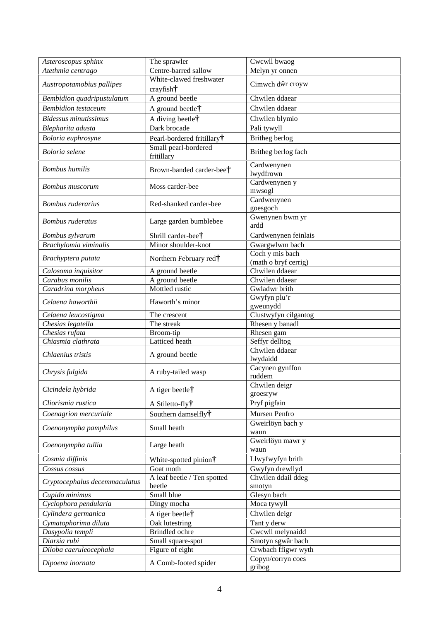| Asteroscopus sphinx           | The sprawler                                  | Cwcwll bwaog                 |  |
|-------------------------------|-----------------------------------------------|------------------------------|--|
| Atethmia centrago             | Centre-barred sallow                          | Melyn yr onnen               |  |
| Austropotamobius pallipes     | White-clawed freshwater<br>$crayfish\ddagger$ | Cimwch d r croyw             |  |
| Bembidion quadripustulatum    | A ground beetle                               | Chwilen ddaear               |  |
| <b>Bembidion</b> testaceum    | A ground beetle†                              | Chwilen ddaear               |  |
| <b>Bidessus minutissimus</b>  | A diving beetle†                              | Chwilen blymio               |  |
|                               | Dark brocade                                  | Pali tywyll                  |  |
| Blepharita adusta             |                                               |                              |  |
| Boloria euphrosyne            | Pearl-bordered fritillary <sup>†</sup>        | Britheg berlog               |  |
| Boloria selene                | Small pearl-bordered<br>fritillary            | Britheg berlog fach          |  |
| <b>Bombus</b> humilis         | Brown-banded carder-bee†                      | Cardwenynen<br>lwydfrown     |  |
| <b>Bombus</b> muscorum        | Moss carder-bee                               | Cardwenynen y<br>mwsogl      |  |
| <b>Bombus</b> ruderarius      | Red-shanked carder-bee                        | Cardwenynen<br>goesgoch      |  |
| <b>Bombus</b> ruderatus       | Large garden bumblebee                        | Gwenynen bwm yr<br>ardd      |  |
| Bombus sylvarum               | Shrill carder-bee <sup>†</sup>                | Cardwenynen feinlais         |  |
| Brachylomia viminalis         | Minor shoulder-knot                           | Gwargwlwm bach               |  |
|                               |                                               | Coch y mis bach              |  |
| Brachyptera putata            | Northern February red†                        | (math o bryf cerrig)         |  |
| Calosoma inquisitor           | A ground beetle                               | Chwilen ddaear               |  |
| Carabus monilis               | A ground beetle                               | Chwilen ddaear               |  |
| Caradrina morpheus            | Mottled rustic                                | Gwladwr brith                |  |
| Celaena haworthii             | Haworth's minor                               | Gwyfyn plu'r<br>gweunydd     |  |
| Celaena leucostigma           | The crescent                                  | Clustwyfyn cilgantog         |  |
| Chesias legatella             | The streak                                    | Rhesen y banadl              |  |
| Chesias rufata                | Broom-tip                                     | Rhesen gam                   |  |
| Chiasmia clathrata            | Latticed heath                                | Seffyr delltog               |  |
| Chlaenius tristis             | A ground beetle                               | Chwilen ddaear<br>lwydaidd   |  |
| Chrysis fulgida               | A ruby-tailed wasp                            | Cacynen gynffon<br>ruddem    |  |
| Cicindela hybrida             | A tiger beetle†                               | Chwilen deigr<br>groesryw    |  |
| Cliorismia rustica            | A Stiletto-fly†                               | Pryf pigfain                 |  |
| Coenagrion mercuriale         | Southern damselfly <sup>†</sup>               | Mursen Penfro                |  |
|                               |                                               | Gweirlöyn bach y             |  |
| Coenonympha pamphilus         | Small heath                                   | waun                         |  |
| Coenonympha tullia            | Large heath                                   | Gweirlöyn mawr y<br>waun     |  |
| Cosmia diffinis               | White-spotted pinion†                         | Llwyfwyfyn brith             |  |
| Cossus cossus                 | Goat moth                                     | Gwyfyn drewllyd              |  |
| Cryptocephalus decemmaculatus | A leaf beetle / Ten spotted<br>beetle         | Chwilen ddail ddeg<br>smotyn |  |
| Cupido minimus                | Small blue                                    | Glesyn bach                  |  |
| Cyclophora pendularia         | Dingy mocha                                   | Moca tywyll                  |  |
| Cylindera germanica           | A tiger beetle†                               | Chwilen deigr                |  |
| Cymatophorima diluta          | Oak lutestring                                | Tant y derw                  |  |
| Dasypolia templi              | <b>Brindled</b> ochre                         | Cwcwll melynaidd             |  |
| Diarsia rubi                  | Small square-spot                             | Smotyn sgwâr bach            |  |
| Diloba caeruleocephala        | Figure of eight                               | Crwbach ffigwr wyth          |  |
| Dipoena inornata              | A Comb-footed spider                          | Copyn/corryn coes            |  |
|                               |                                               | gribog                       |  |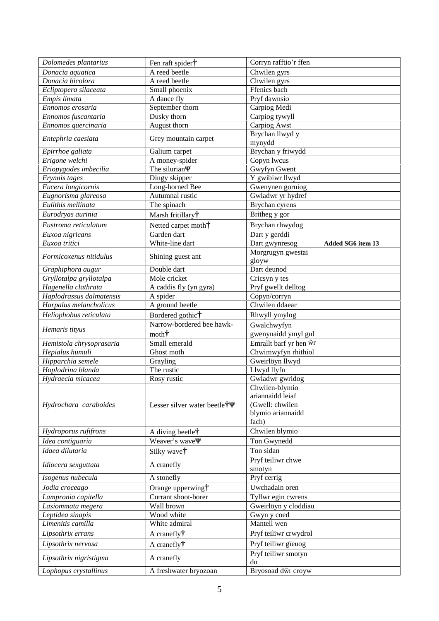| Dolomedes plantarius     | Fen raft spider†                     | Corryn rafftio'r ffen |                   |
|--------------------------|--------------------------------------|-----------------------|-------------------|
| Donacia aquatica         | A reed beetle                        | Chwilen gyrs          |                   |
| Donacia bicolora         | A reed beetle                        | Chwilen gyrs          |                   |
| Ecliptopera silaceata    | Small phoenix                        | Ffenics bach          |                   |
| Empis limata             | A dance fly                          | Pryf dawnsio          |                   |
| Ennomos erosaria         | September thorn                      | Carpiog Medi          |                   |
| Ennomos fuscantaria      | Dusky thorn                          | Carpiog tywyll        |                   |
| Ennomos quercinaria      | August thorn                         | Carpiog Awst          |                   |
| Entephria caesiata       | Grey mountain carpet                 | Brychan llwyd y       |                   |
|                          |                                      | mynydd                |                   |
| Epirrhoe galiata         | Galium carpet                        | Brychan y friwydd     |                   |
| Erigone welchi           | A money-spider                       | Copyn lwcus           |                   |
| Eriopygodes imbecilia    | The silurian                         | Gwyfyn Gwent          |                   |
| Erynnis tages            | Dingy skipper                        | Y gwibiwr llwyd       |                   |
| Eucera longicornis       | Long-horned Bee                      | Gwenynen gorniog      |                   |
| Eugnorisma glareosa      | Autumnal rustic                      | Gwladwr yr hydref     |                   |
| Eulithis mellinata       | The spinach                          | Brychan cyrens        |                   |
| Eurodryas aurinia        | Marsh fritillary <sup>†</sup>        | Britheg y gor         |                   |
| Eustroma reticulatum     | Netted carpet moth <sup>†</sup>      | Brychan rhwydog       |                   |
| Euxoa nigricans          | Garden dart                          | Dart y gerddi         |                   |
| Euxoa tritici            | White-line dart                      | Dart gwynresog        | Added SG6 item 13 |
| Formicoxenus nitidulus   | Shining guest ant                    | Morgrugyn gwestai     |                   |
|                          |                                      | gloyw                 |                   |
| Graphiphora augur        | Double dart                          | Dart deunod           |                   |
| Gryllotalpa gryllotalpa  | Mole cricket                         | Cricsyn y tes         |                   |
| Hagenella clathrata      | A caddis fly (yn gyra)               | Pryf gwellt delltog   |                   |
| Haplodrassus dalmatensis | A spider                             | Copyn/corryn          |                   |
| Harpalus melancholicus   | A ground beetle                      | Chwilen ddaear        |                   |
| Heliophobus reticulata   | Bordered gothic?                     | Rhwyll ymylog         |                   |
| Hemaris tityus           | Narrow-bordered bee hawk-            | Gwalchwyfyn           |                   |
|                          | $\text{month}^+$                     | gwenynaidd ymyl gul   |                   |
| Hemistola chrysoprasaria | Small emerald                        | Emrallt barf yr hen r |                   |
| Hepialus humuli          | Ghost moth                           | Chwimwyfyn rhithiol   |                   |
| Hipparchia semele        | Grayling                             | Gweirlöyn llwyd       |                   |
| Hoplodrina blanda        | The rustic                           | Llwyd llyfn           |                   |
| Hydraecia micacea        | Rosy rustic                          | Gwladwr gwridog       |                   |
|                          |                                      | Chwilen-blymio        |                   |
|                          |                                      | ariannaidd leiaf      |                   |
| Hydrochara caraboides    | Lesser silver water beetle $\dagger$ | (Gwell: chwilen       |                   |
|                          |                                      | blymio ariannaidd     |                   |
|                          |                                      | fach)                 |                   |
| Hydroporus rufifrons     | A diving beetle†                     | Chwilen blymio        |                   |
| Idea contiguaria         | Weaver's wave                        | Ton Gwynedd           |                   |
| Idaea dilutaria          | Silky wave <sup>†</sup>              | Ton sidan             |                   |
| Idiocera sexguttata      | A cranefly                           | Pryf teiliwr chwe     |                   |
|                          |                                      | smotyn                |                   |
| Isogenus nubecula        | A stonefly                           | Pryf cerrig           |                   |
| Jodia croceago           | Orange upperwing†                    | Uwchadain oren        |                   |
| Lampronia capitella      | Currant shoot-borer                  | Tyllwr egin cwrens    |                   |
| Lasiommata megera        | Wall brown                           | Gweirlöyn y cloddiau  |                   |
| Leptidea sinapis         | Wood white                           | Gwyn y coed           |                   |
| Limenitis camilla        | White admiral                        | Mantell wen           |                   |
| Lipsothrix errans        | A cranefly <sup>†</sup>              | Pryf teiliwr crwydrol |                   |
| Lipsothrix nervosa       | A cranefly <sup>†</sup>              | Pryf teiliwr gïeuog   |                   |
| Lipsothrix nigristigma   | A cranefly                           | Pryf teiliwr smotyn   |                   |
|                          |                                      | du                    |                   |
| Lophopus crystallinus    | A freshwater bryozoan                | Bryosoad d r croyw    |                   |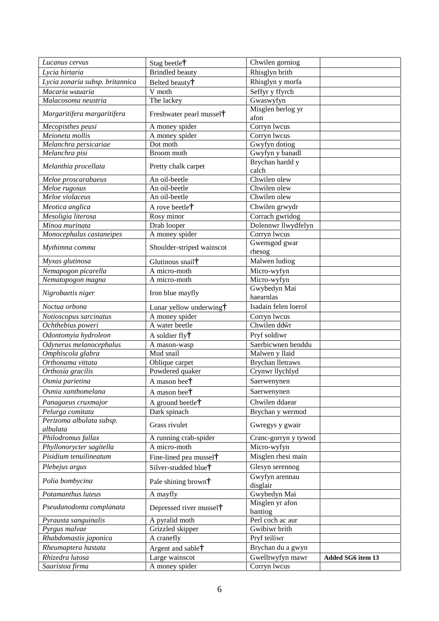| Lucanus cervus                  | Stag beetle†                         | Chwilen gorniog             |                   |
|---------------------------------|--------------------------------------|-----------------------------|-------------------|
| Lycia hirtaria                  | <b>Brindled</b> beauty               | Rhisglyn brith              |                   |
| Lycia zonaria subsp. britannica | Belted beauty <sup>†</sup>           | Rhisglyn y morfa            |                   |
| Macaria wauaria                 | V moth                               | Seffyr y ffyrch             |                   |
| Malacosoma neustria             | The lackey                           | Gwaswyfyn                   |                   |
|                                 |                                      | Misglen berlog yr           |                   |
| Margaritifera margaritifera     | Freshwater pearl mussel <sup>†</sup> | afon                        |                   |
| Mecopisthes peusi               | A money spider                       | Corryn lwcus                |                   |
| Meioneta mollis                 | A money spider                       | Corryn lwcus                |                   |
| Melanchra persicariae           | Dot moth                             | Gwyfyn dotiog               |                   |
| Melanchra pisi                  | Broom moth                           | Gwyfyn y banadl             |                   |
| Melanthia procellata            | Pretty chalk carpet                  | Brychan hardd y<br>calch    |                   |
| Meloe proscarabaeus             | An oil-beetle                        | Chwilen olew                |                   |
| Meloe rugosus                   | An oil-beetle                        | Chwilen olew                |                   |
| Meloe violaceus                 | An oil-beetle                        | Chwilen olew                |                   |
| Meotica anglica                 | A rove beetle†                       | Chwilen grwydr              |                   |
| Mesoligia literosa              | Rosy minor                           | Corrach gwridog             |                   |
| Minoa murinata                  | Drab looper                          | Dolennwr llwydfelyn         |                   |
| Monocephalus castaneipes        | A money spider                       | Corryn lwcus                |                   |
| Mythimna comma                  | Shoulder-striped wainscot            | Gwensgod gwar<br>rhesog     |                   |
|                                 |                                      |                             |                   |
| Myxas glutinosa                 | Glutinous snail†                     | Malwen ludiog               |                   |
| Nemapogon picarella             | A micro-moth                         | Micro-wyfyn                 |                   |
| Nematopogon magna               | A micro-moth                         | Micro-wyfyn<br>Gwybedyn Mai |                   |
| Nigrobaetis niger               | Iron blue mayfly                     | haearnlas                   |                   |
| Noctua orbona                   | Lunar yellow underwing†              | Isadain felen loerol        |                   |
| Notioscopus sarcinatus          | A money spider                       | Corryn lwcus                |                   |
| $\overline{O}$ chthebius poweri | A water beetle                       | Chwilen dd r                |                   |
| Odontomyia hydroleon            | A soldier fly <sup>†</sup>           | Pryf soldiwr                |                   |
| Odynerus melanocephalus         | A mason-wasp                         | Saerbicwnen benddu          |                   |
| Omphiscola glabra               | Mud snail                            | Malwen y llaid              |                   |
| Orthonama vittata               | Oblique carpet                       | Brychan lletraws            |                   |
| Orthosia gracilis               | Powdered quaker                      | Crynwr llychlyd             |                   |
| Osmia parietina                 | A mason bee <sup>†</sup>             | Saerwenynen                 |                   |
| Osmia xanthomelana              | A mason bee <sup>†</sup>             | Saerwenynen                 |                   |
| Panagaeus cruxmajor             | A ground beetle $\dagger$            | Chwilen ddaear              |                   |
| Pelurga comitata                | Dark spinach                         | Brychan y wermod            |                   |
| Perizoma albulata subsp.        |                                      |                             |                   |
| albulata                        | Grass rivulet                        | Gwregys y gwair             |                   |
| Philodromus fallax              | A running crab-spider                | Cranc-gorryn y tywod        |                   |
| Phyllonorycter sagitella        | A micro-moth                         | Micro-wyfyn                 |                   |
| Pisidium tenuilineatum          | Fine-lined pea mussel <sup>†</sup>   | Misglen rhesi main          |                   |
| Plebejus argus                  | Silver-studded blue <sup>†</sup>     | Glesyn serennog             |                   |
| Polia bombycina                 | Pale shining brown <sup>†</sup>      | Gwyfyn arennau<br>disglair  |                   |
| Potamanthus luteus              | A mayfly                             | Gwybedyn Mai                |                   |
| Pseudanodonta complanata        | Depressed river mussel <sup>†</sup>  | Misglen yr afon<br>bantiog  |                   |
| Pyrausta sanguinalis            | A pyralid moth                       | Perl coch ac aur            |                   |
| Pyrgus malvae                   | Grizzled skipper                     | Gwibiwr brith               |                   |
| Rhabdomastix japonica           | A cranefly                           | Pryf teiliwr                |                   |
| Rheumaptera hastata             | Argent and sable <sup>†</sup>        | Brychan du a gwyn           |                   |
| Rhizedra lutosa                 | Large wainscot                       | Gwelltwyfyn mawr            | Added SG6 item 13 |
| Saaristoa firma                 | A money spider                       | Corryn lwcus                |                   |
|                                 |                                      |                             |                   |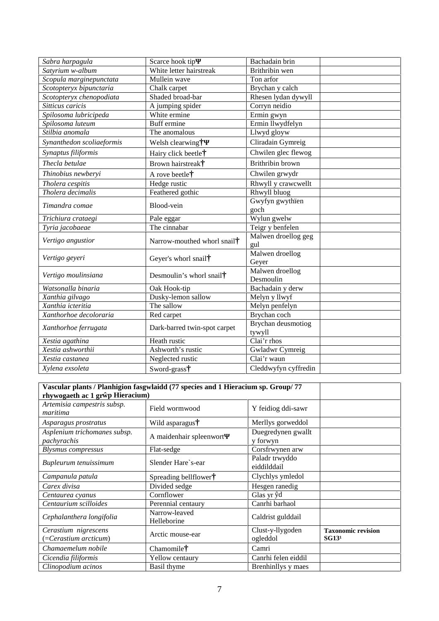| Sabra harpagula           | Scarce hook tip                                                                                                                                                                                                                                                                                                                                                                                               | Bachadain brin               |
|---------------------------|---------------------------------------------------------------------------------------------------------------------------------------------------------------------------------------------------------------------------------------------------------------------------------------------------------------------------------------------------------------------------------------------------------------|------------------------------|
| Satyrium w-album          | White letter hairstreak                                                                                                                                                                                                                                                                                                                                                                                       | Brithribin wen               |
| Scopula marginepunctata   | Mullein wave                                                                                                                                                                                                                                                                                                                                                                                                  | Ton arfor                    |
| Scotopteryx bipunctaria   | Chalk carpet                                                                                                                                                                                                                                                                                                                                                                                                  | Brychan y calch              |
| Scotopteryx chenopodiata  | Shaded broad-bar                                                                                                                                                                                                                                                                                                                                                                                              | Rhesen lydan dywyll          |
| Sitticus caricis          | A jumping spider                                                                                                                                                                                                                                                                                                                                                                                              | Corryn neidio                |
| Spilosoma lubricipeda     |                                                                                                                                                                                                                                                                                                                                                                                                               | Ermin gwyn                   |
| Spilosoma luteum          |                                                                                                                                                                                                                                                                                                                                                                                                               | Ermin llwydfelyn             |
| Stilbia anomala           | The anomalous                                                                                                                                                                                                                                                                                                                                                                                                 | Llwyd gloyw                  |
| Synanthedon scoliaeformis | Welsh clearwing†                                                                                                                                                                                                                                                                                                                                                                                              | Cliradain Gymreig            |
| Synaptus filiformis       | Hairy click beetle†                                                                                                                                                                                                                                                                                                                                                                                           | Chwilen glec flewog          |
| Thecla betulae            | Brown hairstreak†                                                                                                                                                                                                                                                                                                                                                                                             | Brithribin brown             |
| Thinobius newberyi        | A rove beetle†                                                                                                                                                                                                                                                                                                                                                                                                | Chwilen grwydr               |
| Tholera cespitis          |                                                                                                                                                                                                                                                                                                                                                                                                               | Rhwyll y crawcwellt          |
| Tholera decimalis         |                                                                                                                                                                                                                                                                                                                                                                                                               | Rhwyll bluog                 |
| Timandra comae            | White ermine<br>Buff ermine<br>Hedge rustic<br>Feathered gothic<br>Blood-vein<br>Pale eggar<br>The cinnabar<br>Narrow-mouthed whorl snail*<br>Geyer's whorl snail <sup>†</sup><br>Desmoulin's whorl snail <sup>†</sup><br>Oak Hook-tip<br>Dusky-lemon sallow<br>The sallow<br>Red carpet<br>Dark-barred twin-spot carpet<br>Heath rustic<br>Ashworth's rustic<br>Neglected rustic<br>Sword-grass <sup>†</sup> | Gwyfyn gwythïen              |
|                           |                                                                                                                                                                                                                                                                                                                                                                                                               | goch                         |
| Trichiura crataegi        |                                                                                                                                                                                                                                                                                                                                                                                                               | Wylun gwelw                  |
| Tyria jacobaeae           |                                                                                                                                                                                                                                                                                                                                                                                                               | Teigr y benfelen             |
| Vertigo angustior         |                                                                                                                                                                                                                                                                                                                                                                                                               | Malwen droellog geg          |
|                           |                                                                                                                                                                                                                                                                                                                                                                                                               | gul                          |
| Vertigo geyeri            |                                                                                                                                                                                                                                                                                                                                                                                                               | Malwen droellog              |
|                           |                                                                                                                                                                                                                                                                                                                                                                                                               | Geyer                        |
| Vertigo moulinsiana       |                                                                                                                                                                                                                                                                                                                                                                                                               | Malwen droellog              |
|                           |                                                                                                                                                                                                                                                                                                                                                                                                               | Desmoulin                    |
| Watsonalla binaria        |                                                                                                                                                                                                                                                                                                                                                                                                               | Bachadain y derw             |
| Xanthia gilvago           |                                                                                                                                                                                                                                                                                                                                                                                                               | Melyn y llwyf                |
| Xanthia icteritia         |                                                                                                                                                                                                                                                                                                                                                                                                               | Melyn penfelyn               |
| Xanthorhoe decoloraria    |                                                                                                                                                                                                                                                                                                                                                                                                               | Brychan coch                 |
| Xanthorhoe ferrugata      |                                                                                                                                                                                                                                                                                                                                                                                                               | Brychan deusmotiog<br>tywyll |
| Xestia agathina           |                                                                                                                                                                                                                                                                                                                                                                                                               | Clai'r rhos                  |
| Xestia ashworthii         |                                                                                                                                                                                                                                                                                                                                                                                                               | Gwladwr Cymreig              |
| Xestia castanea           |                                                                                                                                                                                                                                                                                                                                                                                                               | Clai'r waun                  |
| Xylena exsoleta           |                                                                                                                                                                                                                                                                                                                                                                                                               | Cleddwyfyn cyffredin         |

| Vascular plants / Planhigion fasgwlaidd (77 species and 1 Hieracium sp. Group/77<br>rhywogaeth ac 1 gr p Hieracium) |                              |                                |                                                |
|---------------------------------------------------------------------------------------------------------------------|------------------------------|--------------------------------|------------------------------------------------|
| Artemisia campestris subsp.<br>maritima                                                                             | Field wormwood               | Y feidiog ddi-sawr             |                                                |
| Asparagus prostratus                                                                                                | Wild asparagus <sup>†</sup>  | Merllys gorweddol              |                                                |
| Asplenium trichomanes subsp.<br>pachyrachis                                                                         | A maidenhair spleenwort      | Duegredynen gwallt<br>y forwyn |                                                |
| <b>Blysmus</b> compressus                                                                                           | Flat-sedge                   | Corsfrwynen arw                |                                                |
| Bupleurum tenuissimum                                                                                               | Slender Hare`s-ear           | Paladr trwyddo<br>eiddilddail  |                                                |
| Campanula patula                                                                                                    | Spreading bellflower†        | Clychlys ymledol               |                                                |
| Carex divisa                                                                                                        | Divided sedge                | Hesgen ranedig                 |                                                |
| Centaurea cyanus                                                                                                    | Cornflower                   | Glas yr d                      |                                                |
| Centaurium scilloides                                                                                               | Perennial centaury           | Canrhi barhaol                 |                                                |
| Cephalanthera longifolia                                                                                            | Narrow-leaved<br>Helleborine | Caldrist gulddail              |                                                |
| Cerastium nigrescens<br>(=Cerastium arcticum)                                                                       | Arctic mouse-ear             | Clust-y-llygoden<br>ogleddol   | <b>Taxonomic revision</b><br>SG13 <sup>1</sup> |
| Chamaemelum nobile                                                                                                  | Chamomile <sup>†</sup>       | Camri                          |                                                |
| Cicendia filiformis                                                                                                 | Yellow centaury              | Canrhi felen eiddil            |                                                |
| Clinopodium acinos                                                                                                  | Basil thyme                  | Brenhinllys y maes             |                                                |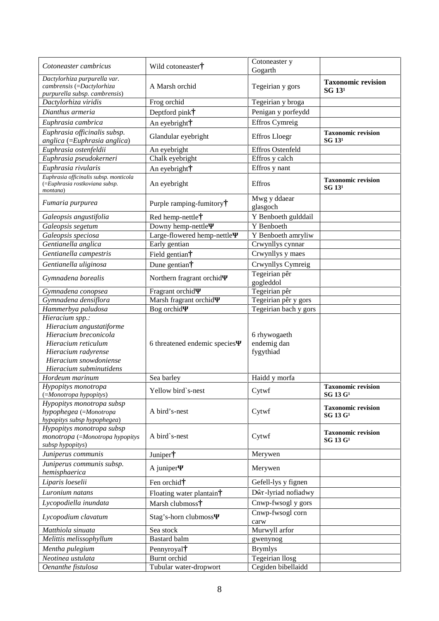| Cotoneaster cambricus                                                                                                                                                   | Wild cotoneaster†                 | Cotoneaster y                            |                                                   |
|-------------------------------------------------------------------------------------------------------------------------------------------------------------------------|-----------------------------------|------------------------------------------|---------------------------------------------------|
|                                                                                                                                                                         |                                   | Gogarth                                  |                                                   |
| Dactylorhiza purpurella var.<br>cambrensis (=Dactylorhiza<br>purpurella subsp. cambrensis)                                                                              | A Marsh orchid                    | Tegeirian y gors                         | <b>Taxonomic revision</b><br>$SG$ $131$           |
| Dactylorhiza viridis                                                                                                                                                    | Frog orchid                       | Tegeirian y broga                        |                                                   |
| Dianthus armeria                                                                                                                                                        | Deptford pink <sup>†</sup>        | Penigan y porfeydd                       |                                                   |
| Euphrasia cambrica                                                                                                                                                      | An eyebright <sup>†</sup>         | Effros Cymreig                           |                                                   |
| Euphrasia officinalis subsp.                                                                                                                                            |                                   |                                          |                                                   |
| anglica (=Euphrasia anglica)                                                                                                                                            | Glandular eyebright               | <b>Effros Lloegr</b>                     | <b>Taxonomic revision</b><br>SG 13 <sup>1</sup>   |
| Euphrasia ostenfeldii                                                                                                                                                   | An eyebright                      | Effros Ostenfeld                         |                                                   |
| Euphrasia pseudokerneri                                                                                                                                                 | Chalk eyebright                   | Effros y calch                           |                                                   |
| Euphrasia rivularis                                                                                                                                                     | An eyebright <sup>†</sup>         | Effros y nant                            |                                                   |
| Euphrasia officinalis subsp. monticola<br>(=Euphrasia rostkoviana subsp.<br>montana)                                                                                    | An eyebright                      | Effros                                   | <b>Taxonomic revision</b><br>$SG$ $131$           |
| Fumaria purpurea                                                                                                                                                        | Purple ramping-fumitory $\dagger$ | Mwg y ddaear<br>glasgoch                 |                                                   |
| Galeopsis angustifolia                                                                                                                                                  | Red hemp-nettle†                  | Y Benboeth gulddail                      |                                                   |
| Galeopsis segetum                                                                                                                                                       | Downy hemp-nettle                 | Y Benboeth                               |                                                   |
| Galeopsis speciosa                                                                                                                                                      | Large-flowered hemp-nettle        | Y Benboeth amryliw                       |                                                   |
| Gentianella anglica                                                                                                                                                     | Early gentian                     | Crwynllys cynnar                         |                                                   |
| Gentianella campestris                                                                                                                                                  | Field gentian†                    | Crwynllys y maes                         |                                                   |
| Gentianella uliginosa                                                                                                                                                   | Dune gentian†                     | Crwynllys Cymreig                        |                                                   |
| Gymnadena borealis                                                                                                                                                      | Northern fragrant orchid          | Tegeirian pêr<br>gogleddol               |                                                   |
| Gymnadena conopsea                                                                                                                                                      | Fragrant orchid                   | Tegeirian pêr                            |                                                   |
| Gymnadena densiflora                                                                                                                                                    | Marsh fragrant orchid             | Tegeirian pêr y gors                     |                                                   |
| Hammerbya paludosa                                                                                                                                                      | Bog orchid                        | Tegeirian bach y gors                    |                                                   |
| Hieracium spp.:<br>Hieracium angustatiforme<br>Hieracium breconicola<br>Hieracium reticulum<br>Hieracium radyrense<br>Hieracium snowdoniense<br>Hieracium subminutidens | 6 threatened endemic species      | 6 rhywogaeth<br>endemig dan<br>fygythiad |                                                   |
| Hordeum marinum                                                                                                                                                         | Sea barley                        | Haidd y morfa                            |                                                   |
| Hypopitys monotropa<br>$( = Monotropa hypothesis)$                                                                                                                      | Yellow bird`s-nest                | Cytwf                                    | <b>Taxonomic revision</b><br>SG 13 G <sup>1</sup> |
| Hypopitys monotropa subsp<br>hypophegea (=Monotropa<br>hypopitys subsp hypophegea)                                                                                      | A bird's-nest                     | Cytwf                                    | <b>Taxonomic revision</b><br>$SG$ 13 $G1$         |
| Hypopitys monotropa subsp<br>monotropa (=Monotropa hypopitys<br>subsp hypopitys)                                                                                        | A bird`s-nest                     | Cytwf                                    | <b>Taxonomic revision</b><br>SG 13 G <sup>1</sup> |
| Juniperus communis                                                                                                                                                      | Juniper <sup>†</sup>              | Merywen                                  |                                                   |
| Juniperus communis subsp.<br>hemisphaerica                                                                                                                              | A juniper                         | Merywen                                  |                                                   |
| Liparis loeselii                                                                                                                                                        | Fen orchid†                       | Gefell-lys y fignen                      |                                                   |
| Luronium natans                                                                                                                                                         | Floating water plantain†          | D r-lyriad nofiadwy                      |                                                   |
| Lycopodiella inundata                                                                                                                                                   | Marsh clubmoss <sup>†</sup>       | Cnwp-fwsogl y gors                       |                                                   |
| Lycopodium clavatum                                                                                                                                                     | Stag's-horn clubmoss              | Cnwp-fwsogl corn<br>carw                 |                                                   |
| Matthiola sinuata                                                                                                                                                       | Sea stock                         | Murwyll arfor                            |                                                   |
| Melittis melissophyllum                                                                                                                                                 | <b>Bastard</b> balm               | gwenynog                                 |                                                   |
| Mentha pulegium                                                                                                                                                         | Pennyroyal <sup>†</sup>           | <b>Brymlys</b>                           |                                                   |
| Neotinea ustulata                                                                                                                                                       | Burnt orchid                      | Tegeirian llosg                          |                                                   |
| Oenanthe fistulosa                                                                                                                                                      | Tubular water-dropwort            | Cegiden bibellaidd                       |                                                   |
|                                                                                                                                                                         |                                   |                                          |                                                   |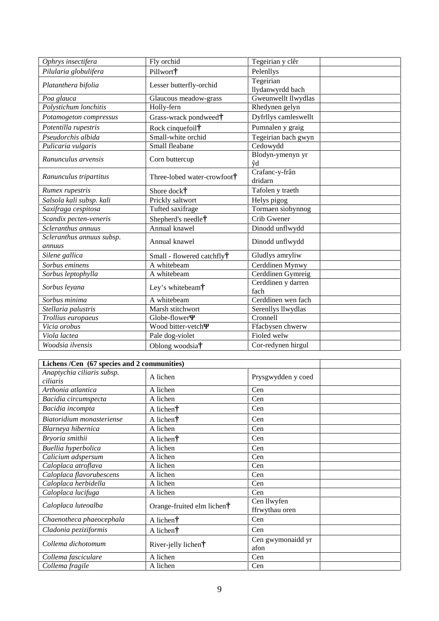| Ophrys insectifera                  | Fly orchid                             | Tegeirian y clêr              |
|-------------------------------------|----------------------------------------|-------------------------------|
| Pilularia globulifera               | Pillwort <sup>†</sup>                  | Pelenllys                     |
| Platanthera bifolia                 | Lesser butterfly-orchid                | Tegeirian<br>llydanwyrdd bach |
| Poa glauca                          | Glaucous meadow-grass                  | Gweunwellt llwydlas           |
| Polystichum lonchitis               | Holly-fern                             | Rhedynen gelyn                |
| Potamogeton compressus              | Grass-wrack pondweed†                  | Dyfrllys camleswellt          |
| Potentilla rupestris                | Rock cinquefoil†                       | Pumnalen y graig              |
| Pseudorchis albida                  | Small-white orchid                     | Tegeirian bach gwyn           |
| Pulicaria vulgaris                  | Small fleabane                         | Cedowydd                      |
| Ranunculus arvensis                 | Corn buttercup                         | Blodyn-ymenyn yr<br>d         |
| Ranunculus tripartitus              | Three-lobed water-crowfoot†            | Crafanc-y-frân<br>dridarn     |
| Rumex rupestris                     | Shore dock <sup>†</sup>                | Tafolen y traeth              |
| Salsola kali subsp. kali            | Prickly saltwort                       | Helys pigog                   |
| Saxifraga cespitosa                 | Tufted saxifrage                       | Tormaen siobynnog             |
| Scandix pecten-veneris              | Shepherd's needle†                     | Crib Gwener                   |
| Scleranthus annuus                  | Annual knawel                          | Dinodd unflwydd               |
| Scleranthus annuus subsp.<br>annuus | Annual knawel                          | Dinodd unflwydd               |
| Silene gallica                      | Small - flowered catchfly <sup>†</sup> | Gludlys amryliw               |
| Sorbus eminens                      | A whitebeam                            | Cerddinen Mynwy               |
| Sorbus leptophylla                  | A whitebeam                            | Cerddinen Gymreig             |
| Sorbus leyana                       | Ley's whitebeam <sup>†</sup>           | Cerddinen y darren<br>fach    |
| Sorbus minima                       | A whitebeam                            | Cerddinen wen fach            |
| Stellaria palustris                 | Marsh stitchwort                       | Serenllys llwydlas            |
| Trollius europaeus                  | Globe-flower                           | Cronnell                      |
| Vicia orobus                        | Wood bitter-vetch                      | Ffacbysen chwerw              |
| Viola lactea                        | Pale dog-violet                        | Fioled welw                   |
| Woodsia ilvensis                    | Oblong woodsia†                        | Cor-redynen hirgul            |

| Lichens /Cen (67 species and 2 communities) |                                     |                               |  |
|---------------------------------------------|-------------------------------------|-------------------------------|--|
| Anaptychia ciliaris subsp.<br>ciliaris      | A lichen                            | Prysgwydden y coed            |  |
| Arthonia atlantica                          | A lichen                            | Cen                           |  |
| Bacidia circumspecta                        | A lichen                            | Cen                           |  |
| Bacidia incompta                            | A lichen $\dagger$                  | Cen                           |  |
| Biatoridium monasteriense                   | A lichen†                           | Cen                           |  |
| Blarneya hibernica                          | A lichen                            | Cen                           |  |
| Bryoria smithii                             | A lichen $\dagger$                  | Cen                           |  |
| Buellia hyperbolica                         | A lichen                            | Cen                           |  |
| Calicium adspersum                          | A lichen                            | Cen                           |  |
| Caloplaca atroflava                         | A lichen                            | Cen                           |  |
| Caloplaca flavorubescens                    | A lichen                            | Cen                           |  |
| Caloplaca herbidella                        | A lichen                            | Cen                           |  |
| Caloplaca lucifuga                          | A lichen                            | Cen                           |  |
| Caloplaca luteoalba                         | Orange-fruited elm lichen $\dagger$ | Cen llwyfen<br>ffrwythau oren |  |
| Chaenotheca phaeocephala                    | A lichen $\dagger$                  | Cen                           |  |
| Cladonia peziziformis                       | A lichen $\dagger$                  | Cen                           |  |
| Collema dichotomum                          | River-jelly lichen†                 | Cen gwymonaidd yr<br>afon     |  |
| Collema fasciculare                         | A lichen                            | Cen                           |  |
| Collema fragile                             | A lichen                            | Cen                           |  |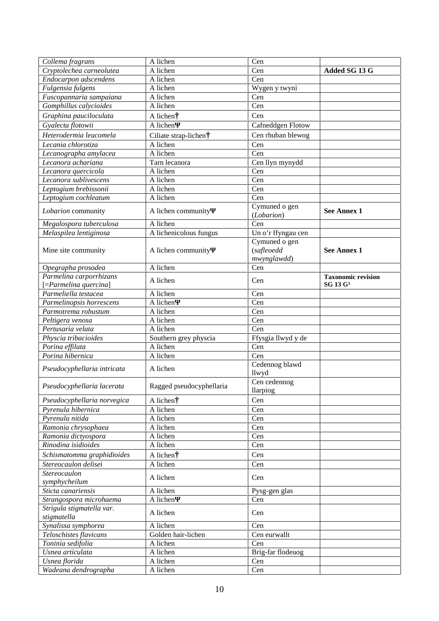| Collema fragrans                                | A lichen                 | Cen                |                           |
|-------------------------------------------------|--------------------------|--------------------|---------------------------|
| $\overline{\mathit{Crypto}}$ lechea carneolutea | A lichen                 | Cen                | Added SG 13 G             |
| Endocarpon adscendens                           | A lichen                 | Cen                |                           |
| Fulgensia fulgens                               | A lichen                 | Wygen y twyni      |                           |
| Fuscopannaria sampaiana                         | A lichen                 | Cen                |                           |
| Gomphillus calycioides                          | A lichen                 | Cen                |                           |
| Graphina pauciloculata                          | A lichen†                | Cen                |                           |
| Gyalecta flotowii                               | A lichen                 | Cafneddgen Flotow  |                           |
| Heterodermia leucomela                          | Ciliate strap-lichen†    | Cen rhuban blewog  |                           |
| Lecania chlorotiza                              | A lichen                 | Cen                |                           |
| Lecanographa amylacea                           | A lichen                 | Cen                |                           |
| Lecanora achariana                              | Tarn lecanora            | Cen llyn mynydd    |                           |
| Lecanora quercicola                             | $\overline{A}$ lichen    | Cen                |                           |
| Lecanora sublivescens                           | A lichen                 | Cen                |                           |
| Leptogium brebissonii                           | A lichen                 | Cen                |                           |
| Leptogium cochleatum                            | A lichen                 | Cen                |                           |
|                                                 |                          | Cymuned o gen      |                           |
| Lobarion community                              | A lichen community       | (Lobarion)         | <b>See Annex 1</b>        |
| Megalospora tuberculosa                         | A lichen                 | Cen                |                           |
| Melaspilea lentiginosa                          | A lichenicolous fungus   | Un o'r ffyngau cen |                           |
|                                                 |                          | Cymuned o gen      |                           |
| Mine site community                             | A lichen community       | (safleoedd         | <b>See Annex 1</b>        |
|                                                 |                          | mwynglawdd)        |                           |
| Opegrapha prosodea                              | A lichen                 | Cen                |                           |
| Parmelina carporrhizans                         | A lichen                 | Cen                | <b>Taxonomic revision</b> |
| [=Parmelina quercina]                           |                          |                    | SG 13 G <sup>3</sup>      |
| Parmeliella testacea                            | A lichen                 | Cen                |                           |
| Parmelinopsis horrescens                        | $\overline{A}$ lichen    | Cen                |                           |
| Parmotrema robustum                             | A lichen                 | Cen                |                           |
| Peltigera venosa                                | A lichen                 | Cen                |                           |
| Pertusaria velata                               | A lichen                 | Cen                |                           |
| Physcia tribacioides                            | Southern grey physcia    | Ffysgia llwyd y de |                           |
| Porina effilata                                 | A lichen                 | Cen                |                           |
| Porina hibernica                                | A lichen                 | Cen                |                           |
| Pseudocyphellaria intricata                     | A lichen                 | Cedennog blawd     |                           |
|                                                 |                          | llwyd              |                           |
| Pseudocyphellaria lacerata                      | Ragged pseudocyphellaria | Cen cedennog       |                           |
|                                                 |                          | llarpiog           |                           |
| Pseudocyphellaria norvegica                     | A lichen†                | Cen                |                           |
| Pyrenula hibernica                              | A lichen                 | Cen                |                           |
| Pyrenula nitida                                 | A lichen                 | Cen                |                           |
| Ramonia chrysophaea                             | A lichen                 | Cen                |                           |
| Ramonia dictyospora                             | A lichen                 | Cen                |                           |
| Rinodina isidioides                             | A lichen                 | Cen                |                           |
| Schismatomma graphidioides                      | A lichen†                | Cen                |                           |
| Stereocaulon delisei                            | A lichen                 | Cen                |                           |
| <b>Stereocaulon</b>                             | A lichen                 | Cen                |                           |
| symphycheilum                                   |                          |                    |                           |
| Sticta canariensis                              | A lichen                 | Pysg-gen glas      |                           |
| Strangospora microhaema                         | A lichen                 | Cen                |                           |
| Strigula stigmatella var.                       | A lichen                 | Cen                |                           |
| stigmatella                                     |                          |                    |                           |
| Synalissa symphorea                             | A lichen                 | Cen                |                           |
| Teloschistes flavicans                          | Golden hair-lichen       | Cen eurwallt       |                           |
| Toninia sedifolia                               | A lichen                 | Cen                |                           |
| Usnea articulata                                | A lichen                 | Brig-far flodeuog  |                           |
| Usnea florida                                   | A lichen                 | Cen                |                           |
| Wadeana dendrographa                            | A lichen                 | Cen                |                           |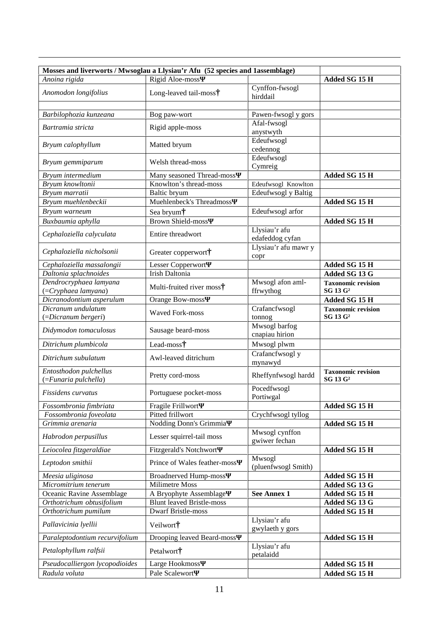| Mosses and liverworts / Mwsoglau a Llysiau'r Afu (52 species and 1assemblage) |                                  |                                  |                                                   |
|-------------------------------------------------------------------------------|----------------------------------|----------------------------------|---------------------------------------------------|
| Anoina rigida                                                                 | Rigid Aloe-moss                  |                                  | Added SG 15 H                                     |
| Anomodon longifolius                                                          | Long-leaved tail-moss†           | Cynffon-fwsogl<br>hirddail       |                                                   |
| Barbilophozia kunzeana                                                        | Bog paw-wort                     | Pawen-fwsogl y gors              |                                                   |
| Bartramia stricta                                                             | Rigid apple-moss                 | Afal-fwsogl                      |                                                   |
|                                                                               |                                  | anystwyth                        |                                                   |
| Bryum calophyllum                                                             | Matted bryum                     | Edeufwsogl<br>cedennog           |                                                   |
| Bryum gemmiparum                                                              | Welsh thread-moss                | Edeufwsogl<br>Cymreig            |                                                   |
| Bryum intermedium                                                             | Many seasoned Thread-moss        |                                  | Added SG 15 H                                     |
| Bryum knowltonii                                                              | Knowlton's thread-moss           | Edeufwsogl Knowlton              |                                                   |
| Bryum marratii                                                                | Baltic bryum                     | Edeufwsogl y Baltig              |                                                   |
| Bryum muehlenbeckii                                                           | Muehlenbeck's Threadmoss         |                                  | Added SG 15 H                                     |
| Bryum warneum                                                                 | Sea bryum†                       | Edeufwsogl arfor                 |                                                   |
| Buxbaumia aphylla                                                             | <b>Brown Shield-moss</b>         |                                  | Added SG 15 H                                     |
| Cephaloziella calyculata                                                      | Entire threadwort                | Llysiau'r afu<br>edafeddog cyfan |                                                   |
| Cephaloziella nicholsonii                                                     | Greater copperwort <sup>†</sup>  | Llysiau'r afu mawr y<br>copr     |                                                   |
| Cephaloziella massalongii                                                     | Lesser Copperwort                |                                  | Added SG 15 H                                     |
| Daltonia splachnoides                                                         | Irish Daltonia                   |                                  | Added SG 13 G                                     |
| Dendrocryphaea lamyana<br>(=Cryphaea lamyana)                                 | Multi-fruited river moss†        | Mwsogl afon aml-<br>ffrwythog    | <b>Taxonomic revision</b><br>SG 13 G <sup>2</sup> |
| Dicranodontium asperulum                                                      | Orange Bow-moss                  |                                  | Added SG 15 H                                     |
| Dicranum undulatum                                                            |                                  | Crafancfwsogl                    | <b>Taxonomic revision</b>                         |
| (=Dicranum bergeri)                                                           | <b>Waved Fork-moss</b>           | tonnog                           | SG 13 G <sup>2</sup>                              |
| Didymodon tomaculosus                                                         | Sausage beard-moss               | Mwsogl barfog<br>cnapiau hirion  |                                                   |
| Ditrichum plumbicola                                                          | Lead-moss†                       | Mwsogl plwm                      |                                                   |
| Ditrichum subulatum                                                           | Awl-leaved ditrichum             | Crafancfwsogl y<br>mynawyd       |                                                   |
| Entosthodon pulchellus<br>(=Funaria pulchella)                                | Pretty cord-moss                 | Rheffynfwsogl hardd              | <b>Taxonomic revision</b><br>SG 13 G <sup>2</sup> |
| Fissidens curvatus                                                            | Portuguese pocket-moss           | Pocedfwsogl<br>Portiwgal         |                                                   |
| Fossombronia fimbriata                                                        | Fragile Frillwort                |                                  | Added SG 15 H                                     |
| Fossombronia foveolata                                                        | Pitted frillwort                 | Crychfwsogl tyllog               |                                                   |
| Grimmia arenaria                                                              | Nodding Donn's Grimmia           |                                  | Added SG 15 H                                     |
| Habrodon perpusillus                                                          | Lesser squirrel-tail moss        | Mwsogl cynffon<br>gwiwer fechan  |                                                   |
| Leiocolea fitzgeraldiae                                                       | <b>Fitzgerald's Notchwort</b>    |                                  | Added SG 15 H                                     |
| Leptodon smithii                                                              | Prince of Wales feather-moss     | Mwsogl<br>(pluenfwsogl Smith)    |                                                   |
| Meesia uliginosa                                                              | <b>Broadnerved Hump-moss</b>     |                                  | Added SG 15 H                                     |
| $\overline{Micromitrium}$ tenerum                                             | <b>Milimetre Moss</b>            |                                  | Added SG 13 G                                     |
| Oceanic Ravine Assemblage                                                     | A Bryophyte Assemblage           | <b>See Annex 1</b>               | Added SG 15 H                                     |
| Orthotrichum obtusifolium                                                     | <b>Blunt leaved Bristle-moss</b> |                                  | Added SG 13 G                                     |
| Orthotrichum pumilum                                                          | <b>Dwarf Bristle-moss</b>        |                                  | Added SG 15 H                                     |
| Pallavicinia lyellii                                                          | Veilwort†                        | Llysiau'r afu<br>gwylaeth y gors |                                                   |
| Paraleptodontium recurvifolium                                                | Drooping leaved Beard-moss       |                                  | Added SG 15 H                                     |
| Petalophyllum ralfsii                                                         | Petalwort <sup>†</sup>           | Llysiau'r afu<br>petalaidd       |                                                   |
| Pseudocalliergon lycopodioides                                                | Large Hookmoss                   |                                  | Added SG 15 H                                     |
| Radula voluta                                                                 | Pale Scalewort                   |                                  | Added SG 15 H                                     |
|                                                                               |                                  |                                  |                                                   |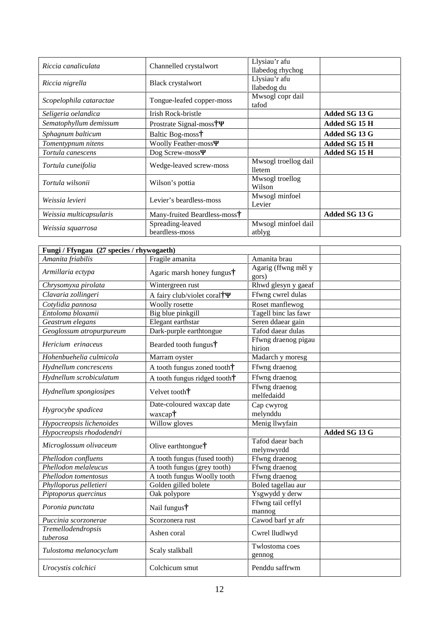| Riccia canaliculata     | Channelled crystalwort             | Llysiau'r afu<br>llabedog rhychog |               |
|-------------------------|------------------------------------|-----------------------------------|---------------|
| Riccia nigrella         | Black crystalwort                  | Llysiau'r afu<br>llabedog du      |               |
| Scopelophila cataractae | Tongue-leafed copper-moss          | Mwsogl copr dail<br>tafod         |               |
| Seligeria oelandica     | Irish Rock-bristle                 |                                   | Added SG 13 G |
| Sematophyllum demissum  | Prostrate Signal-moss <sup>†</sup> |                                   | Added SG 15 H |
| Sphagnum balticum       | Baltic Bog-moss <sup>†</sup>       |                                   | Added SG 13 G |
| Tomentypnum nitens      | <b>Woolly Feather-moss</b>         |                                   | Added SG 15 H |
| Tortula canescens       | Dog Screw-moss                     |                                   | Added SG 15 H |
| Tortula cuneifolia      | Wedge-leaved screw-moss            | Mwsogl troellog dail<br>lletem    |               |
| Tortula wilsonii        | Wilson's pottia                    | Mwsogl troellog<br>Wilson         |               |
| Weissia levieri         | Levier's beardless-moss            | Mwsogl minfoel<br>Levier          |               |
| Weissia multicapsularis | Many-fruited Beardless-moss†       |                                   | Added SG 13 G |
| Weissia squarrosa       | Spreading-leaved                   | Mwsogl minfoel dail               |               |
|                         | beardless-moss                     | atblyg                            |               |

| Fungi / Ffyngau (27 species / rhywogaeth)    |                                        |                                |               |
|----------------------------------------------|----------------------------------------|--------------------------------|---------------|
| Amanita friabilis                            | Fragile amanita                        | Amanita brau                   |               |
| Armillaria ectypa                            | Agaric marsh honey fungus†             | Agarig (ffwng mêl y<br>gors)   |               |
| Chrysomyxa pirolata                          | Wintergreen rust                       | Rhwd glesyn y gaeaf            |               |
| Clavaria zollingeri                          | A fairy club/violet coral <sup>†</sup> | Ffwng cwrel dulas              |               |
| Cotylidia pannosa                            | Woolly rosette                         | Roset manflewog                |               |
| Entoloma bloxamii                            | Big blue pinkgill                      | Tagell binc las fawr           |               |
| Geastrum elegans                             | Elegant earthstar                      | Seren ddaear gain              |               |
| Geoglossum atropurpureum                     | Dark-purple earthtongue                | Tafod daear dulas              |               |
| Hericium erinaceus                           | Bearded tooth fungus†                  | Ffwng draenog pigau<br>hirion  |               |
| Hohenbuehelia culmicola                      | Marram oyster                          | Madarch y moresg               |               |
| Hydnellum concrescens                        | A tooth fungus zoned tooth†            | Ffwng draenog                  |               |
| Hydnellum scrobiculatum                      | A tooth fungus ridged tooth†           | Ffwng draenog                  |               |
| Hydnellum spongiosipes                       | Velvet tooth <sup>†</sup>              | Ffwng draenog<br>melfedaidd    |               |
| Hygrocybe spadicea                           | Date-coloured waxcap date<br>waxcap†   | Cap cwyrog<br>melynddu         |               |
| Hypocreopsis lichenoides                     | Willow gloves                          | Menig llwyfain                 |               |
| Hypocreopsis rhododendri                     |                                        |                                | Added SG 13 G |
| Microglossum olivaceum                       | Olive earthtongue†                     | Tafod daear bach<br>melynwyrdd |               |
| Phellodon confluens                          | A tooth fungus (fused tooth)           | Ffwng draenog                  |               |
| Phellodon melaleucus                         | A tooth fungus (grey tooth)            | Ffwng draenog                  |               |
| Phellodon tomentosus                         | A tooth fungus Woolly tooth            | Ffwng draenog                  |               |
| Phylloporus pelletieri                       | Golden gilled bolete                   | Boled tagellau aur             |               |
| Piptoporus quercinus                         | Oak polypore                           | Ysgwydd y derw                 |               |
| Poronia punctata                             | Nail fungus†                           | Ffwng tail ceffyl<br>mannog    |               |
| Puccinia scorzonerae                         | Scorzonera rust                        | Cawod barf yr afr              |               |
| $\overline{T}$ remellodendropsis<br>tuberosa | Ashen coral                            | Cwrel lludlwyd                 |               |
| Tulostoma melanocyclum                       | Scaly stalkball                        | Twlostoma coes<br>gennog       |               |
| Urocystis colchici                           | Colchicum smut                         | Penddu saffrwm                 |               |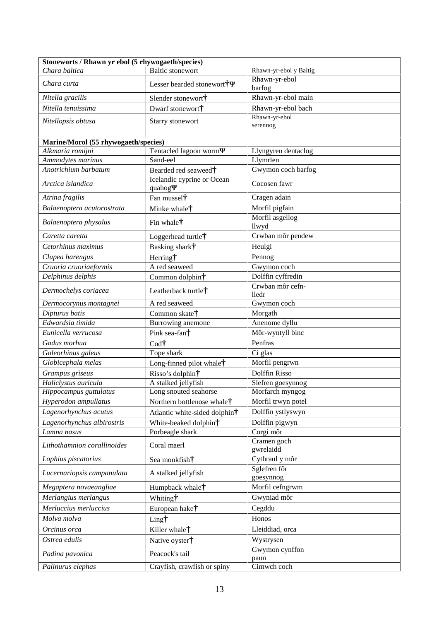| Stoneworts / Rhawn yr ebol (5 rhywogaeth/species) |                                        |                                  |
|---------------------------------------------------|----------------------------------------|----------------------------------|
| Chara baltica                                     | <b>Baltic stonewort</b>                | Rhawn-yr-ebol y Baltig           |
| Chara curta                                       | Lesser bearded stonewort <sup>†</sup>  | Rhawn-yr-ebol<br>barfog          |
| Nitella gracilis                                  | Slender stonewort <sup>†</sup>         | Rhawn-yr-ebol main               |
| Nitella tenuissima                                | Dwarf stonewort <sup>†</sup>           | Rhawn-yr-ebol bach               |
| Nitellopsis obtusa                                | Starry stonewort                       | Rhawn-yr-ebol<br>serennog        |
| Marine/Morol (55 rhywogaeth/species)              |                                        |                                  |
| Alkmaria romijni                                  | Tentacled lagoon worm                  | Llyngyren dentaclog              |
| Ammodytes marinus                                 | Sand-eel                               | Llymrïen                         |
| Anotrichium barbatum                              | Bearded red seaweed <sup>†</sup>       | Gwymon coch barfog               |
| Arctica islandica                                 | Icelandic cyprine or Ocean<br>quahog   | Cocosen fawr                     |
| Atrina fragilis                                   | Fan mussel <sup>†</sup>                | Cragen adain                     |
| Balaenoptera acutorostrata                        | Minke whale <sup>†</sup>               | Morfil pigfain                   |
| Balaenoptera physalus                             | Fin whale <sup>†</sup>                 | Morfil asgellog                  |
|                                                   |                                        | llwyd                            |
| Caretta caretta                                   | Loggerhead turtle†                     | Crwban môr pendew                |
| Cetorhinus maximus                                | Basking shark <sup>†</sup>             | Heulgi                           |
| Clupea harengus                                   | Herring†                               | Pennog                           |
| $\overline{C}$ ruoria cruoriaeformis              | A red seaweed                          | Gwymon coch                      |
| Delphinus delphis                                 | Common dolphin†                        | Dolffin cyffredin                |
| Dermochelys coriacea                              | Leatherback turtle†                    | Crwban môr cefn-<br><b>lledr</b> |
| Dermocorynus montagnei                            | A red seaweed                          | Gwymon coch                      |
| Dipturus batis                                    | Common skate†                          | Morgath                          |
| Edwardsia timida                                  | Burrowing anemone                      | Anenome dyllu                    |
| Eunicella verrucosa                               | Pink sea-fan†                          | Môr-wyntyll binc                 |
| Gadus morhua                                      | Codt                                   | Penfras                          |
| Galeorhinus galeus                                | Tope shark                             | Ci glas                          |
| Globicephala melas                                | Long-finned pilot whale <sup>†</sup>   | Morfil pengrwn                   |
| Grampus griseus                                   | Risso's dolphin†                       | Dolffin Risso                    |
| Haliclystus auricula                              | A stalked jellyfish                    | Slefren goesynnog                |
| Hippocampus guttulatus                            | Long snouted seahorse                  | Morfarch myngog                  |
| Hyperodon ampullatus                              | Northern bottlenose whale <sup>†</sup> | Morfil trwyn potel               |
| Lagenorhynchus acutus                             | Atlantic white-sided dolphin†          | Dolffin ystlyswyn                |
| Lagenorhynchus albirostris                        | White-beaked dolphin†                  | Dolffin pigwyn                   |
| Lamna nasus                                       | Porbeagle shark                        | Corgi môr                        |
| Lithothamnion corallinoides                       | Coral maerl                            | Cramen goch<br>gwrelaidd         |
| Lophius piscatorius                               | Sea monkfish <sup>†</sup>              | Cythraul y môr                   |
| Lucernariopsis campanulata                        | A stalked jellyfish                    | Sglefren fôr<br>goesynnog        |
| Megaptera novaeangliae                            | Humpback whale <sup>†</sup>            | Morfil cefngrwm                  |
| Merlangius merlangus                              | Whiting†                               | Gwyniad môr                      |
| Merluccius merluccius                             | European hake <sup>†</sup>             | Cegddu                           |
| Molva molva                                       | Ling†                                  | Honos                            |
| Orcinus orca                                      | Killer whale <sup>†</sup>              | Lleiddiad, orca                  |
| Ostrea edulis                                     | Native oyster†                         | Wystrysen                        |
|                                                   |                                        | Gwymon cynffon                   |
| Padina pavonica                                   | Peacock's tail                         | paun                             |
| Palinurus elephas                                 | Crayfish, crawfish or spiny            | Cimwch coch                      |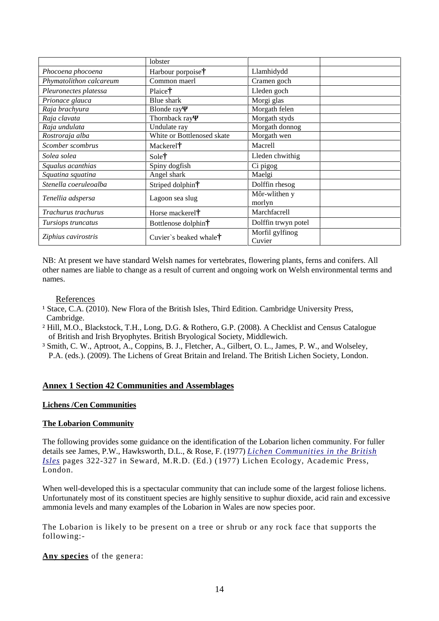|                         | lobster                         |                           |  |
|-------------------------|---------------------------------|---------------------------|--|
| Phocoena phocoena       | Harbour porpoise†               | Llamhidydd                |  |
| Phymatolithon calcareum | Common maerl                    | Cramen goch               |  |
| Pleuronectes platessa   | Plaice†                         | Lleden goch               |  |
| Prionace glauca         | Blue shark                      | Morgi glas                |  |
| Raja brachyura          | <b>Blonde</b> ray               | Morgath felen             |  |
| Raja clavata            | Thornback ray                   | Morgath styds             |  |
| Raja undulata           | Undulate ray                    | Morgath donnog            |  |
| Rostroraja alba         | White or Bottlenosed skate      | Morgath wen               |  |
| Scomber scombrus        | Mackerel <sup>†</sup>           | Macrell                   |  |
| Solea solea             | Sole†                           | Lleden chwithig           |  |
| Squalus acanthias       | Spiny dogfish                   | Ci pigog                  |  |
| Squatina squatina       | Angel shark                     | Maelgi                    |  |
| Stenella coeruleoalba   | Striped dolphin <sup>†</sup>    | Dolffin rhesog            |  |
| Tenellia adspersa       | Lagoon sea slug                 | Môr-wlithen y             |  |
|                         |                                 | morlyn                    |  |
| Trachurus trachurus     | Horse mackerel <sup>†</sup>     | Marchfacrell              |  |
| Tursiops truncatus      | Bottlenose dolphin†             | Dolffin trwyn potel       |  |
| Ziphius cavirostris     | Cuvier's beaked whale $\dagger$ | Morfil gylfinog<br>Cuvier |  |

NB: At present we have standard Welsh names for vertebrates, flowering plants, ferns and conifers. All other names are liable to change as a result of current and ongoing work on Welsh environmental terms and names.

#### References

- <sup>1</sup> Stace, C.A. (2010). New Flora of the British Isles, Third Edition. Cambridge University Press, Cambridge.
- ² Hill, M.O., Blackstock, T.H., Long, D.G. & Rothero, G.P. (2008). A Checklist and Census Catalogue of British and Irish Bryophytes. British Bryological Society, Middlewich.
- ³ Smith, C. W., Aptroot, A., Coppins, B. J., Fletcher, A., Gilbert, O. L., James, P. W., and Wolseley, P.A. (eds.). (2009). The Lichens of Great Britain and Ireland. The British Lichen Society, London.

#### **Annex 1 Section 42 Communities and Assemblages**

#### **Lichens /Cen Communities**

#### **The Lobarion Community**

The following provides some guidance on the identification of the Lobarion lichen community. For fuller details see James, P.W., Hawksworth, D.L., & Rose, F. (1977) *[Lichen Communities in the British](http://www.wales-lichens.org.uk/apprentices/content/lichen-communities-british-isles) [Isles](http://www.wales-lichens.org.uk/apprentices/content/lichen-communities-british-isles)* pages 322-327 in Seward, M.R.D. (Ed.) (1977) Lichen Ecology, Academic Press, London.

When well-developed this is a spectacular community that can include some of the largest foliose lichens. Unfortunately most of its constituent species are highly sensitive to suphur dioxide, acid rain and excessive ammonia levels and many examples of the Lobarion in Wales are now species poor.

The Lobarion is likely to be present on a tree or shrub or any rock face that supports the following:-

#### **Any species** of the genera: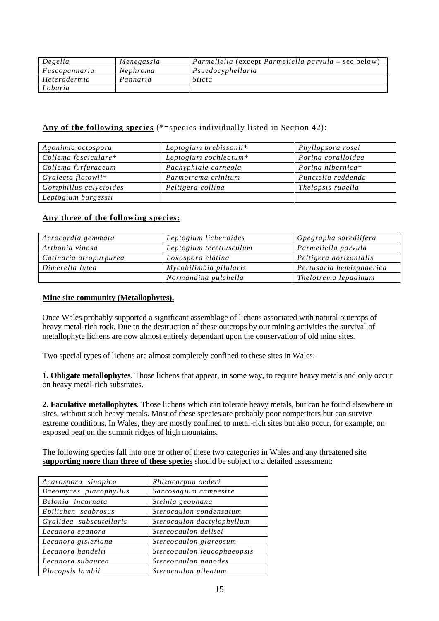| Degelia       | Menegassia | <i>Parmeliella</i> (except <i>Parmeliella parvula –</i> see below) |
|---------------|------------|--------------------------------------------------------------------|
| Fuscopannaria | Nephroma   | Psuedocyphellaria                                                  |
| Heterodermia  | Pannaria   | <i>Sticta</i>                                                      |
| Lobaria       |            |                                                                    |

#### **Any of the following species** (\*=species individually listed in Section 42):

| Agonimia octospora     | Leptogium brebissonii* | Phyllopsora rosei  |
|------------------------|------------------------|--------------------|
| Collema fasciculare*   | Leptogium cochleatum*  | Porina coralloidea |
| Collema furfuraceum    | Pachyphiale carneola   | Porina hibernica*  |
| Gyalecta flotowii*     | Parmotrema crinitum    | Punctelia reddenda |
| Gomphillus calycioides | Peltigera collina      | Thelopsis rubella  |
| Leptogium burgessii    |                        |                    |

#### **Any three of the following species:**

| Acrocordia gemmata     | Leptogium lichenoides   | Opegrapha sorediifera    |
|------------------------|-------------------------|--------------------------|
| Arthonia vinosa        | Leptogium teretiusculum | Parmeliella parvula      |
| Catinaria atropurpurea | Loxospora elatina       | Peltigera horizontalis   |
| Dimerella lutea        | Mycobilimbia pilularis  | Pertusaria hemisphaerica |
|                        | Normandina pulchella    | Thelotrema lepadinum     |

#### **Mine site community (Metallophytes).**

Once Wales probably supported a significant assemblage of lichens associated with natural outcrops of heavy metal-rich rock. Due to the destruction of these outcrops by our mining activities the survival of metallophyte lichens are now almost entirely dependant upon the conservation of old mine sites.

Two special types of lichens are almost completely confined to these sites in Wales:-

**1. Obligate metallophytes**. Those lichens that appear, in some way, to require heavy metals and only occur on heavy metal-rich substrates.

**2. Faculative metallophytes**. Those lichens which can tolerate heavy metals, but can be found elsewhere in sites, without such heavy metals. Most of these species are probably poor competitors but can survive extreme conditions. In Wales, they are mostly confined to metal-rich sites but also occur, for example, on exposed peat on the summit ridges of high mountains.

The following species fall into one or other of these two categories in Wales and any threatened site **supporting more than three of these species** should be subject to a detailed assessment:

| Acarospora sinopica     | Rhizocarpon oederi          |
|-------------------------|-----------------------------|
| Baeomyces placophyllus  | Sarcosagium campestre       |
| Belonia incarnata       | Steinia geophana            |
| Epilichen scabrosus     | Sterocaulon condensatum     |
| Gyalidea subscutellaris | Sterocaulon dactylophyllum  |
| Lecanora epanora        | Stereocaulon delisei        |
| Lecanora gisleriana     | Stereocaulon glareosum      |
| Lecanora handelii       | Stereocaulon leucophaeopsis |
| Lecanora subaurea       | Stereocaulon nanodes        |
| Placopsis lambii        | Sterocaulon pileatum        |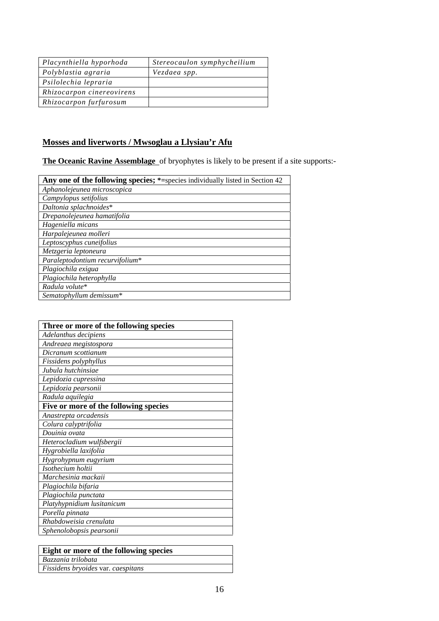| Placynthiella hyporhoda   | Stereocaulon symphycheilium |
|---------------------------|-----------------------------|
| Polyblastia agraria       | Vezdaea spp.                |
| Psilolechia lepraria      |                             |
| Rhizocarpon cinereovirens |                             |
| Rhizocarpon furfurosum    |                             |

### **Mosses and liverworts / Mwsoglau a Llysiau'r Afu**

**The Oceanic Ravine Assemblage** of bryophytes is likely to be present if a site supports:-

| Any one of the following species; *=species individually listed in Section 42 |
|-------------------------------------------------------------------------------|
| Aphanolejeunea microscopica                                                   |
| Campylopus setifolius                                                         |
| Daltonia splachnoides*                                                        |
| Drepanolejeunea hamatifolia                                                   |
| Hageniella micans                                                             |
| Harpalejeunea molleri                                                         |
| Leptoscyphus cuneifolius                                                      |
| Metzgeria leptoneura                                                          |
| Paraleptodontium recurvifolium*                                               |
| Plagiochila exigua                                                            |
| Plagiochila heterophylla                                                      |
| Radula volute*                                                                |
| Sematophyllum demissum*                                                       |

| Three or more of the following species |
|----------------------------------------|
| Adelanthus decipiens                   |
| Andreaea megistospora                  |
| Dicranum scottianum                    |
| Fissidens polyphyllus                  |
| Jubula hutchinsiae                     |
| Lepidozia cupressina                   |
| Lepidozia pearsonii                    |
| Radula aquilegia                       |
| Five or more of the following species  |
| Anastrepta orcadensis                  |
| Colura calyptrifolia                   |
| Douinia ovata                          |
| Heterocladium wulfsbergii              |
| Hygrobiella laxifolia                  |
| Hygrohypnum eugyrium                   |
| Isothecium holtii                      |
| Marchesinia mackaii                    |
| Plagiochila bifaria                    |
| Plagiochila punctata                   |
| Platyhypnidium lusitanicum             |
| Porella pinnata                        |
| Rhabdoweisia crenulata                 |
| Sphenolobopsis pearsonii               |

| <b>Eight or more of the following species</b> |
|-----------------------------------------------|
| Bazzania trilobata                            |
| Fissidens bryoides var. caespitans            |